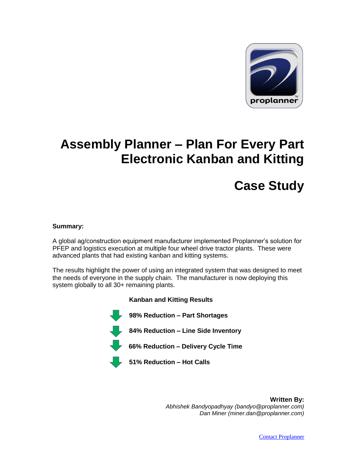

## **Assembly Planner – Plan For Every Part Electronic Kanban and Kitting**

# **Case Study**

#### **Summary:**

A global ag/construction equipment manufacturer implemented Proplanner's solution for PFEP and logistics execution at multiple four wheel drive tractor plants. These were advanced plants that had existing kanban and kitting systems.

The results highlight the power of using an integrated system that was designed to meet the needs of everyone in the supply chain. The manufacturer is now deploying this system globally to all 30+ remaining plants.



**Written By:** *Abhishek Bandyopadhyay (bandyo@proplanner.com) Dan Miner (miner.dan@proplanner.com)*



[Contact Proplanner](http://www.proplanner.com/en/contact_us/)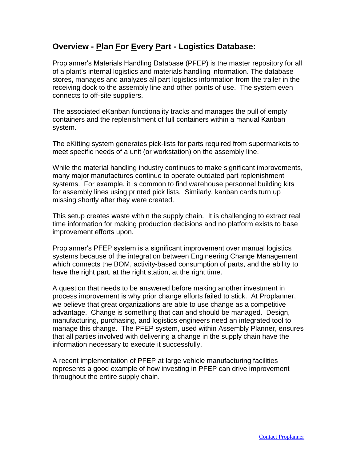### **Overview - Plan For Every Part - Logistics Database:**

Proplanner's Materials Handling Database (PFEP) is the master repository for all of a plant's internal logistics and materials handling information. The database stores, manages and analyzes all part logistics information from the trailer in the receiving dock to the assembly line and other points of use. The system even connects to off-site suppliers.

The associated eKanban functionality tracks and manages the pull of empty containers and the replenishment of full containers within a manual Kanban system.

The eKitting system generates pick-lists for parts required from supermarkets to meet specific needs of a unit (or workstation) on the assembly line.

While the material handling industry continues to make significant improvements, many major manufactures continue to operate outdated part replenishment systems. For example, it is common to find warehouse personnel building kits for assembly lines using printed pick lists. Similarly, kanban cards turn up missing shortly after they were created.

This setup creates waste within the supply chain. It is challenging to extract real time information for making production decisions and no platform exists to base improvement efforts upon.

Proplanner's PFEP system is a significant improvement over manual logistics systems because of the integration between Engineering Change Management which connects the BOM, activity-based consumption of parts, and the ability to have the right part, at the right station, at the right time.

A question that needs to be answered before making another investment in process improvement is why prior change efforts failed to stick. At Proplanner, we believe that great organizations are able to use change as a competitive advantage. Change is something that can and should be managed. Design, manufacturing, purchasing, and logistics engineers need an integrated tool to manage this change. The PFEP system, used within Assembly Planner, ensures that all parties involved with delivering a change in the supply chain have the information necessary to execute it successfully.

A recent implementation of PFEP at large vehicle manufacturing facilities represents a good example of how investing in PFEP can drive improvement throughout the entire supply chain.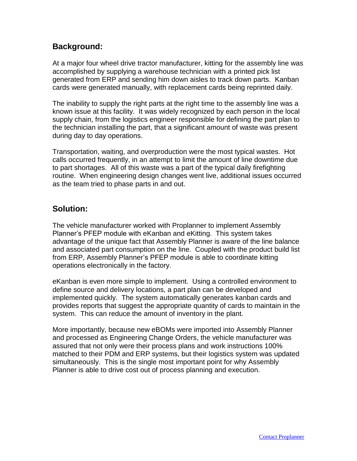### **Background:**

At a major four wheel drive tractor manufacturer, kitting for the assembly line was accomplished by supplying a warehouse technician with a printed pick list generated from ERP and sending him down aisles to track down parts. Kanban cards were generated manually, with replacement cards being reprinted daily.

The inability to supply the right parts at the right time to the assembly line was a known issue at this facility. It was widely recognized by each person in the local supply chain, from the logistics engineer responsible for defining the part plan to the technician installing the part, that a significant amount of waste was present during day to day operations.

Transportation, waiting, and overproduction were the most typical wastes. Hot calls occurred frequently, in an attempt to limit the amount of line downtime due to part shortages. All of this waste was a part of the typical daily firefighting routine. When engineering design changes went live, additional issues occurred as the team tried to phase parts in and out.

#### **Solution:**

The vehicle manufacturer worked with Proplanner to implement Assembly Planner's PFEP module with eKanban and eKitting. This system takes advantage of the unique fact that Assembly Planner is aware of the line balance and associated part consumption on the line. Coupled with the product build list from ERP, Assembly Planner's PFEP module is able to coordinate kitting operations electronically in the factory.

eKanban is even more simple to implement. Using a controlled environment to define source and delivery locations, a part plan can be developed and implemented quickly. The system automatically generates kanban cards and provides reports that suggest the appropriate quantity of cards to maintain in the system. This can reduce the amount of inventory in the plant.

More importantly, because new eBOMs were imported into Assembly Planner and processed as Engineering Change Orders, the vehicle manufacturer was assured that not only were their process plans and work instructions 100% matched to their PDM and ERP systems, but their logistics system was updated simultaneously. This is the single most important point for why Assembly Planner is able to drive cost out of process planning and execution.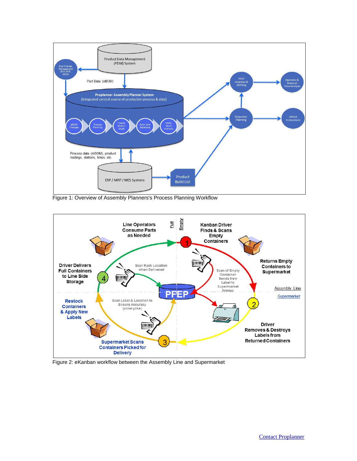

Figure 1: Overview of Assembly Planners's Process Planning Workflow



Figure 2: eKanban workflow between the Assembly Line and Supermarket